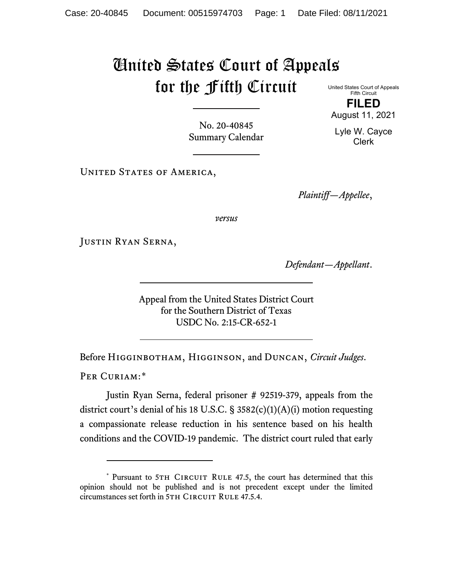## United States Court of Appeals for the Fifth Circuit

United States Court of Appeals Fifth Circuit **FILED**

August 11, 2021

Lyle W. Cayce Clerk

No. 20-40845 Summary Calendar

UNITED STATES OF AMERICA,

*Plaintiff—Appellee*,

*versus*

Justin Ryan Serna,

*Defendant—Appellant*.

Appeal from the United States District Court for the Southern District of Texas USDC No. 2:15-CR-652-1

Before Higginbotham, Higginson, and Duncan, *Circuit Judges*. PER CURIAM:[\\*](#page-0-0)

Justin Ryan Serna, federal prisoner # 92519-379, appeals from the district court's denial of his 18 U.S.C. § 3582(c)(1)(A)(i) motion requesting a compassionate release reduction in his sentence based on his health conditions and the COVID-19 pandemic. The district court ruled that early

<span id="page-0-0"></span><sup>\*</sup> Pursuant to 5TH CIRCUIT RULE 47.5, the court has determined that this opinion should not be published and is not precedent except under the limited circumstances set forth in 5TH CIRCUIT RULE 47.5.4.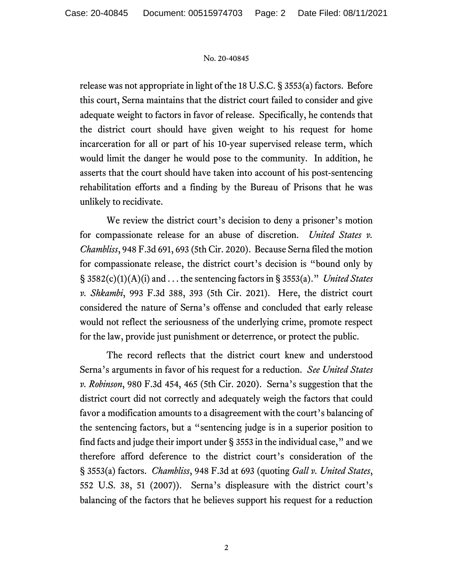## No. 20-40845

release was not appropriate in light of the 18 U.S.C. § 3553(a) factors. Before this court, Serna maintains that the district court failed to consider and give adequate weight to factors in favor of release. Specifically, he contends that the district court should have given weight to his request for home incarceration for all or part of his 10-year supervised release term, which would limit the danger he would pose to the community. In addition, he asserts that the court should have taken into account of his post-sentencing rehabilitation efforts and a finding by the Bureau of Prisons that he was unlikely to recidivate.

We review the district court's decision to deny a prisoner's motion for compassionate release for an abuse of discretion. *United States v. Chambliss*, 948 F.3d 691, 693 (5th Cir. 2020). Because Serna filed the motion for compassionate release, the district court's decision is "bound only by § 3582(c)(1)(A)(i) and . . . the sentencing factors in § 3553(a)." *United States v. Shkambi*, 993 F.3d 388, 393 (5th Cir. 2021). Here, the district court considered the nature of Serna's offense and concluded that early release would not reflect the seriousness of the underlying crime, promote respect for the law, provide just punishment or deterrence, or protect the public.

The record reflects that the district court knew and understood Serna's arguments in favor of his request for a reduction. *See United States v. Robinson*, 980 F.3d 454, 465 (5th Cir. 2020). Serna's suggestion that the district court did not correctly and adequately weigh the factors that could favor a modification amounts to a disagreement with the court's balancing of the sentencing factors, but a "sentencing judge is in a superior position to find facts and judge their import under § 3553 in the individual case," and we therefore afford deference to the district court's consideration of the § 3553(a) factors. *Chambliss*, 948 F.3d at 693 (quoting *Gall v. United States*, 552 U.S. 38, 51 (2007)). Serna's displeasure with the district court's balancing of the factors that he believes support his request for a reduction